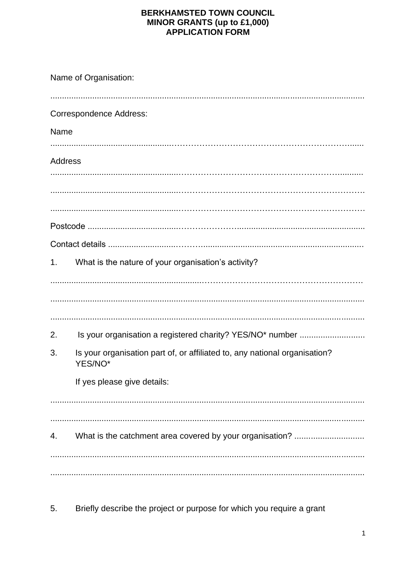## **BERKHAMSTED TOWN COUNCIL MINOR GRANTS (up to £1,000)**<br>APPLICATION FORM

| Name of Organisation: |                                                                                       |
|-----------------------|---------------------------------------------------------------------------------------|
|                       | <b>Correspondence Address:</b>                                                        |
| Name                  |                                                                                       |
| <b>Address</b>        |                                                                                       |
|                       |                                                                                       |
|                       |                                                                                       |
|                       |                                                                                       |
|                       |                                                                                       |
| 1.                    | What is the nature of your organisation's activity?                                   |
|                       |                                                                                       |
|                       |                                                                                       |
| 2.                    |                                                                                       |
| 3.                    | Is your organisation part of, or affiliated to, any national organisation?<br>YES/NO* |
|                       | If yes please give details:                                                           |
|                       |                                                                                       |
|                       |                                                                                       |
|                       |                                                                                       |
|                       |                                                                                       |

5. Briefly describe the project or purpose for which you require a grant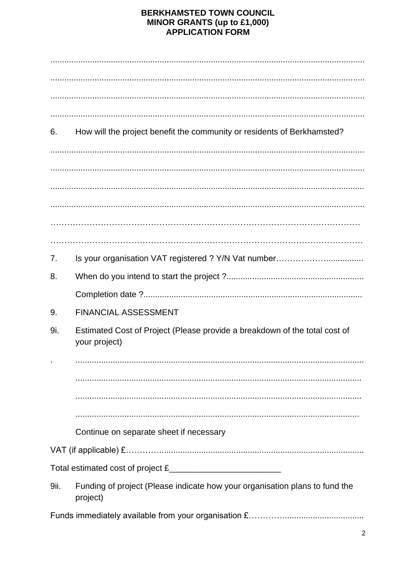## **BERKHAMSTED TOWN COUNCIL MINOR GRANTS (up to £1,000)**<br>APPLICATION FORM

| 6.   | How will the project benefit the community or residents of Berkhamsted?                     |
|------|---------------------------------------------------------------------------------------------|
|      |                                                                                             |
|      |                                                                                             |
|      |                                                                                             |
|      |                                                                                             |
| 7.   |                                                                                             |
| 8.   |                                                                                             |
|      |                                                                                             |
| 9.   | <b>FINANCIAL ASSESSMENT</b>                                                                 |
| 9i.  | Estimated Cost of Project (Please provide a breakdown of the total cost of<br>your project) |
|      |                                                                                             |
|      |                                                                                             |
|      |                                                                                             |
|      |                                                                                             |
|      | Continue on separate sheet if necessary                                                     |
|      |                                                                                             |
|      |                                                                                             |
| 9ii. | Funding of project (Please indicate how your organisation plans to fund the<br>project)     |
|      |                                                                                             |